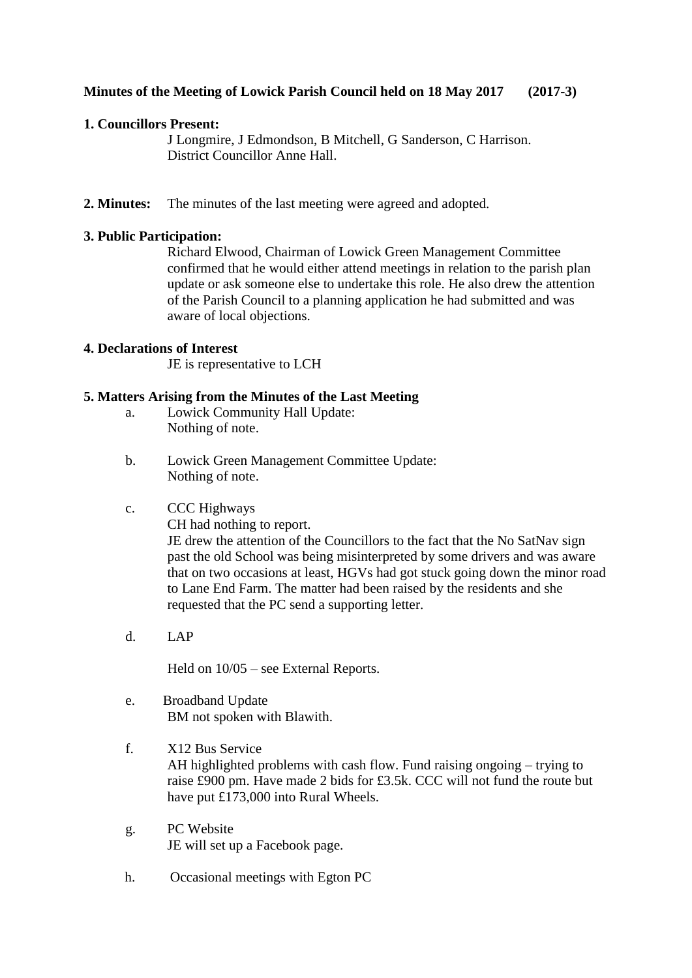# **Minutes of the Meeting of Lowick Parish Council held on 18 May 2017 (2017-3)**

# **1. Councillors Present:**

J Longmire, J Edmondson, B Mitchell, G Sanderson, C Harrison. District Councillor Anne Hall.

**2. Minutes:** The minutes of the last meeting were agreed and adopted.

# **3. Public Participation:**

Richard Elwood, Chairman of Lowick Green Management Committee confirmed that he would either attend meetings in relation to the parish plan update or ask someone else to undertake this role. He also drew the attention of the Parish Council to a planning application he had submitted and was aware of local objections.

### **4. Declarations of Interest**

JE is representative to LCH

# **5. Matters Arising from the Minutes of the Last Meeting**

- a. Lowick Community Hall Update: Nothing of note.
- b. Lowick Green Management Committee Update: Nothing of note.

# c. CCC Highways

CH had nothing to report.

JE drew the attention of the Councillors to the fact that the No SatNav sign past the old School was being misinterpreted by some drivers and was aware that on two occasions at least, HGVs had got stuck going down the minor road to Lane End Farm. The matter had been raised by the residents and she requested that the PC send a supporting letter.

d. LAP

Held on 10/05 – see External Reports.

- e. Broadband Update BM not spoken with Blawith.
- f. X12 Bus Service AH highlighted problems with cash flow. Fund raising ongoing – trying to raise £900 pm. Have made 2 bids for £3.5k. CCC will not fund the route but have put £173,000 into Rural Wheels.
- g. PC Website JE will set up a Facebook page.
- h. Occasional meetings with Egton PC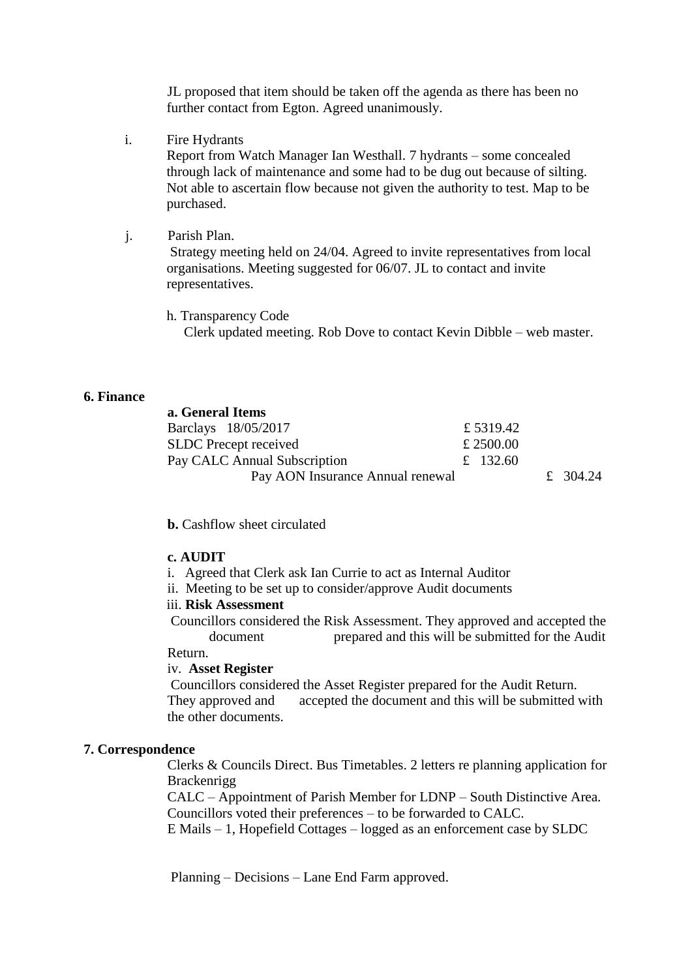JL proposed that item should be taken off the agenda as there has been no further contact from Egton. Agreed unanimously.

- i. Fire Hydrants Report from Watch Manager Ian Westhall. 7 hydrants – some concealed through lack of maintenance and some had to be dug out because of silting. Not able to ascertain flow because not given the authority to test. Map to be purchased.
- j. Parish Plan. Strategy meeting held on 24/04. Agreed to invite representatives from local organisations. Meeting suggested for 06/07. JL to contact and invite representatives.
	- h. Transparency Code

Clerk updated meeting. Rob Dove to contact Kevin Dibble – web master.

### **6. Finance**

| a. General Items                 |           |          |
|----------------------------------|-----------|----------|
| Barclays 18/05/2017              | £5319.42  |          |
| <b>SLDC</b> Precept received     | £ 2500.00 |          |
| Pay CALC Annual Subscription     | £ 132.60  |          |
| Pay AON Insurance Annual renewal |           | £ 304.24 |

**b.** Cashflow sheet circulated

### **c. AUDIT**

- i. Agreed that Clerk ask Ian Currie to act as Internal Auditor
- ii. Meeting to be set up to consider/approve Audit documents

# iii. **Risk Assessment**

Councillors considered the Risk Assessment. They approved and accepted the document prepared and this will be submitted for the Audit

Return.

### iv. **Asset Register**

Councillors considered the Asset Register prepared for the Audit Return. They approved and accepted the document and this will be submitted with the other documents.

### **7. Correspondence**

Clerks & Councils Direct. Bus Timetables. 2 letters re planning application for Brackenrigg

CALC – Appointment of Parish Member for LDNP – South Distinctive Area. Councillors voted their preferences – to be forwarded to CALC.

E Mails – 1, Hopefield Cottages – logged as an enforcement case by SLDC

Planning – Decisions – Lane End Farm approved.